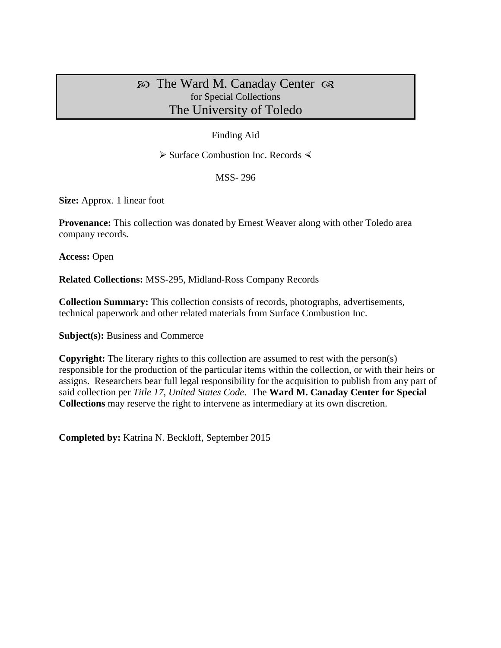# $\infty$  The Ward M. Canaday Center  $\infty$ for Special Collections The University of Toledo

### Finding Aid

 $\triangleright$  Surface Combustion Inc. Records  $\triangleleft$ 

MSS- 296

**Size:** Approx. 1 linear foot

**Provenance:** This collection was donated by Ernest Weaver along with other Toledo area company records.

**Access:** Open

**Related Collections:** MSS-295, Midland-Ross Company Records

**Collection Summary:** This collection consists of records, photographs, advertisements, technical paperwork and other related materials from Surface Combustion Inc.

**Subject(s):** Business and Commerce

**Copyright:** The literary rights to this collection are assumed to rest with the person(s) responsible for the production of the particular items within the collection, or with their heirs or assigns. Researchers bear full legal responsibility for the acquisition to publish from any part of said collection per *Title 17, United States Code*. The **Ward M. Canaday Center for Special Collections** may reserve the right to intervene as intermediary at its own discretion.

**Completed by:** Katrina N. Beckloff, September 2015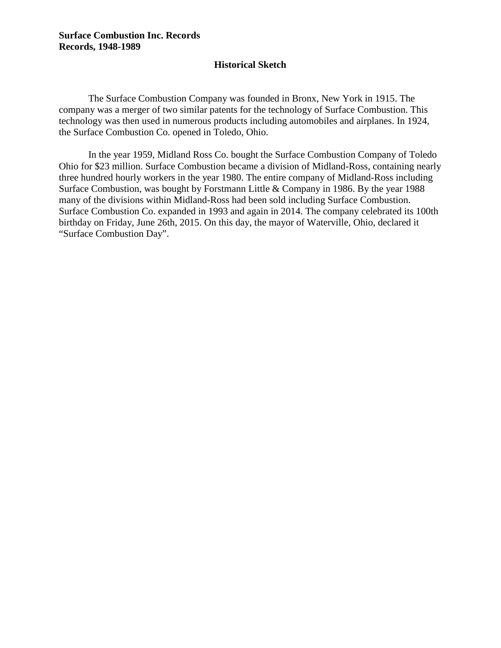#### **Surface Combustion Inc. Records Records, 1948-1989**

#### **Historical Sketch**

The Surface Combustion Company was founded in Bronx, New York in 1915. The company was a merger of two similar patents for the technology of Surface Combustion. This technology was then used in numerous products including automobiles and airplanes. In 1924, the Surface Combustion Co. opened in Toledo, Ohio.

In the year 1959, Midland Ross Co. bought the Surface Combustion Company of Toledo Ohio for \$23 million. Surface Combustion became a division of Midland-Ross, containing nearly three hundred hourly workers in the year 1980. The entire company of Midland-Ross including Surface Combustion, was bought by Forstmann Little & Company in 1986. By the year 1988 many of the divisions within Midland-Ross had been sold including Surface Combustion. Surface Combustion Co. expanded in 1993 and again in 2014. The company celebrated its 100th birthday on Friday, June 26th, 2015. On this day, the mayor of Waterville, Ohio, declared it "Surface Combustion Day".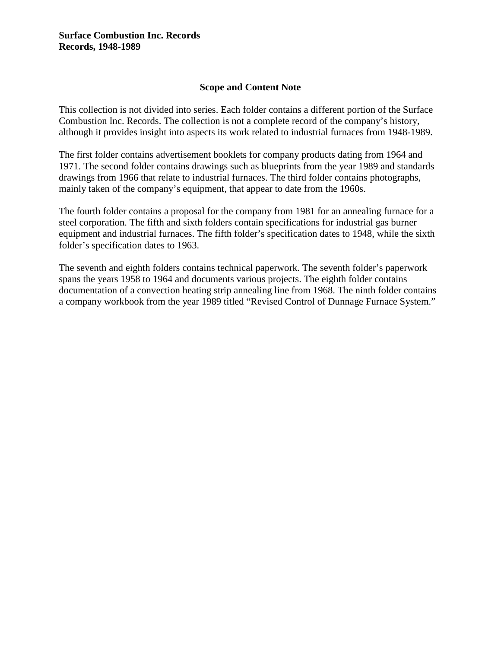### **Scope and Content Note**

This collection is not divided into series. Each folder contains a different portion of the Surface Combustion Inc. Records. The collection is not a complete record of the company's history, although it provides insight into aspects its work related to industrial furnaces from 1948-1989.

The first folder contains advertisement booklets for company products dating from 1964 and 1971. The second folder contains drawings such as blueprints from the year 1989 and standards drawings from 1966 that relate to industrial furnaces. The third folder contains photographs, mainly taken of the company's equipment, that appear to date from the 1960s.

The fourth folder contains a proposal for the company from 1981 for an annealing furnace for a steel corporation. The fifth and sixth folders contain specifications for industrial gas burner equipment and industrial furnaces. The fifth folder's specification dates to 1948, while the sixth folder's specification dates to 1963.

The seventh and eighth folders contains technical paperwork. The seventh folder's paperwork spans the years 1958 to 1964 and documents various projects. The eighth folder contains documentation of a convection heating strip annealing line from 1968. The ninth folder contains a company workbook from the year 1989 titled "Revised Control of Dunnage Furnace System."